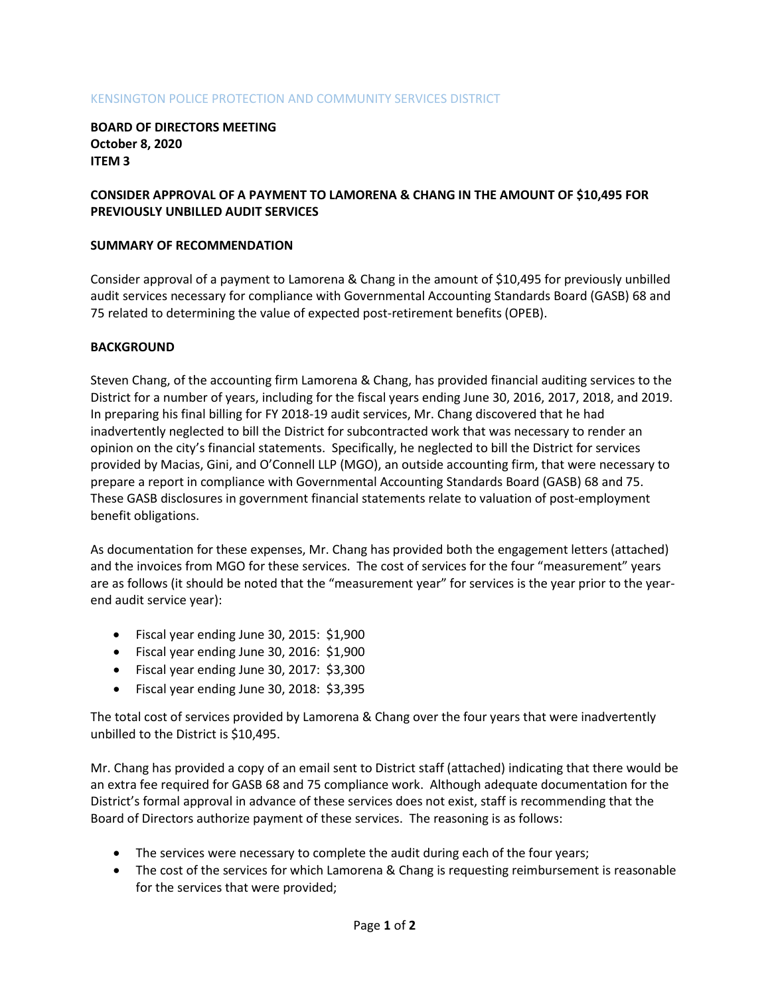### KENSINGTON POLICE PROTECTION AND COMMUNITY SERVICES DISTRICT

**BOARD OF DIRECTORS MEETING October 8, 2020 ITEM 3**

# **CONSIDER APPROVAL OF A PAYMENT TO LAMORENA & CHANG IN THE AMOUNT OF \$10,495 FOR PREVIOUSLY UNBILLED AUDIT SERVICES**

### **SUMMARY OF RECOMMENDATION**

Consider approval of a payment to Lamorena & Chang in the amount of \$10,495 for previously unbilled audit services necessary for compliance with Governmental Accounting Standards Board (GASB) 68 and 75 related to determining the value of expected post-retirement benefits (OPEB).

#### **BACKGROUND**

Steven Chang, of the accounting firm Lamorena & Chang, has provided financial auditing services to the District for a number of years, including for the fiscal years ending June 30, 2016, 2017, 2018, and 2019. In preparing his final billing for FY 2018-19 audit services, Mr. Chang discovered that he had inadvertently neglected to bill the District for subcontracted work that was necessary to render an opinion on the city's financial statements. Specifically, he neglected to bill the District for services provided by Macias, Gini, and O'Connell LLP (MGO), an outside accounting firm, that were necessary to prepare a report in compliance with Governmental Accounting Standards Board (GASB) 68 and 75. These GASB disclosures in government financial statements relate to valuation of post-employment benefit obligations.

As documentation for these expenses, Mr. Chang has provided both the engagement letters (attached) and the invoices from MGO for these services. The cost of services for the four "measurement" years are as follows (it should be noted that the "measurement year" for services is the year prior to the yearend audit service year):

- Fiscal year ending June 30, 2015: \$1,900
- Fiscal year ending June 30, 2016: \$1,900
- Fiscal year ending June 30, 2017: \$3,300
- Fiscal year ending June 30, 2018: \$3,395

The total cost of services provided by Lamorena & Chang over the four years that were inadvertently unbilled to the District is \$10,495.

Mr. Chang has provided a copy of an email sent to District staff (attached) indicating that there would be an extra fee required for GASB 68 and 75 compliance work. Although adequate documentation for the District's formal approval in advance of these services does not exist, staff is recommending that the Board of Directors authorize payment of these services. The reasoning is as follows:

- The services were necessary to complete the audit during each of the four years;
- The cost of the services for which Lamorena & Chang is requesting reimbursement is reasonable for the services that were provided;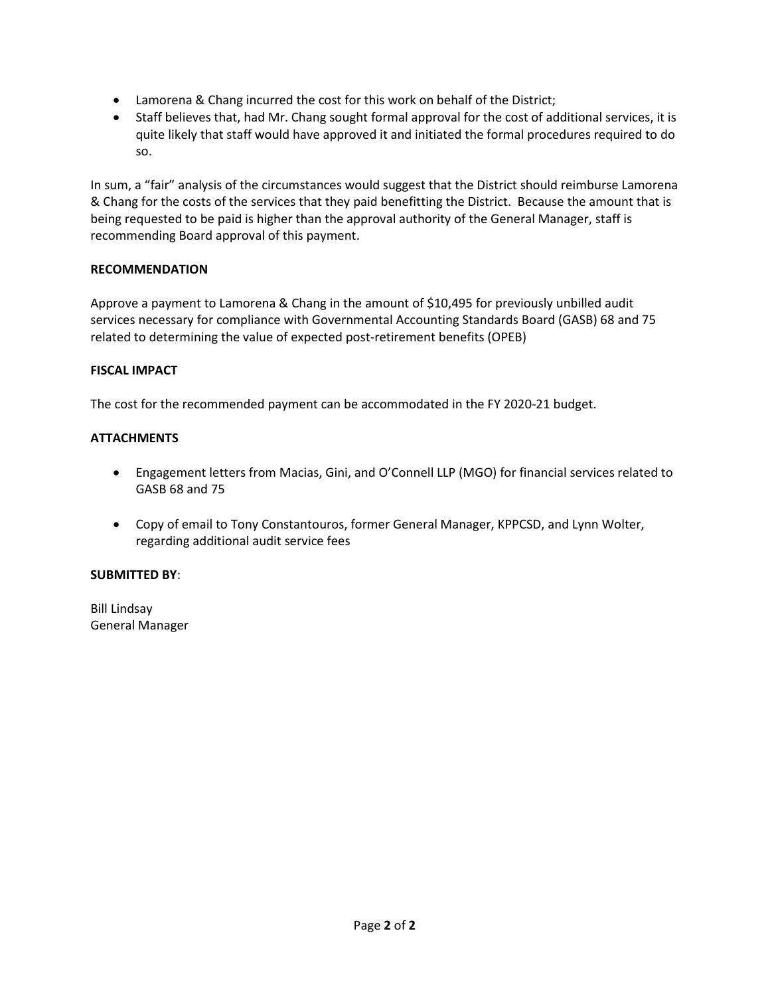- Lamorena & Chang incurred the cost for this work on behalf of the District;
- Staff believes that, had Mr. Chang sought formal approval for the cost of additional services, it is quite likely that staff would have approved it and initiated the formal procedures required to do so.

In sum, a "fair" analysis of the circumstances would suggest that the District should reimburse Lamorena & Chang for the costs of the services that they paid benefitting the District. Because the amount that is being requested to be paid is higher than the approval authority of the General Manager, staff is recommending Board approval of this payment.

# **RECOMMENDATION**

Approve a payment to Lamorena & Chang in the amount of \$10,495 for previously unbilled audit services necessary for compliance with Governmental Accounting Standards Board (GASB) 68 and 75 related to determining the value of expected post-retirement benefits (OPEB)

# **FISCAL IMPACT**

The cost for the recommended payment can be accommodated in the FY 2020-21 budget.

# **ATTACHMENTS**

- Engagement letters from Macias, Gini, and O'Connell LLP (MGO) for financial services related to GASB 68 and 75
- Copy of email to Tony Constantouros, former General Manager, KPPCSD, and Lynn Wolter, regarding additional audit service fees

### **SUBMITTED BY**:

Bill Lindsay General Manager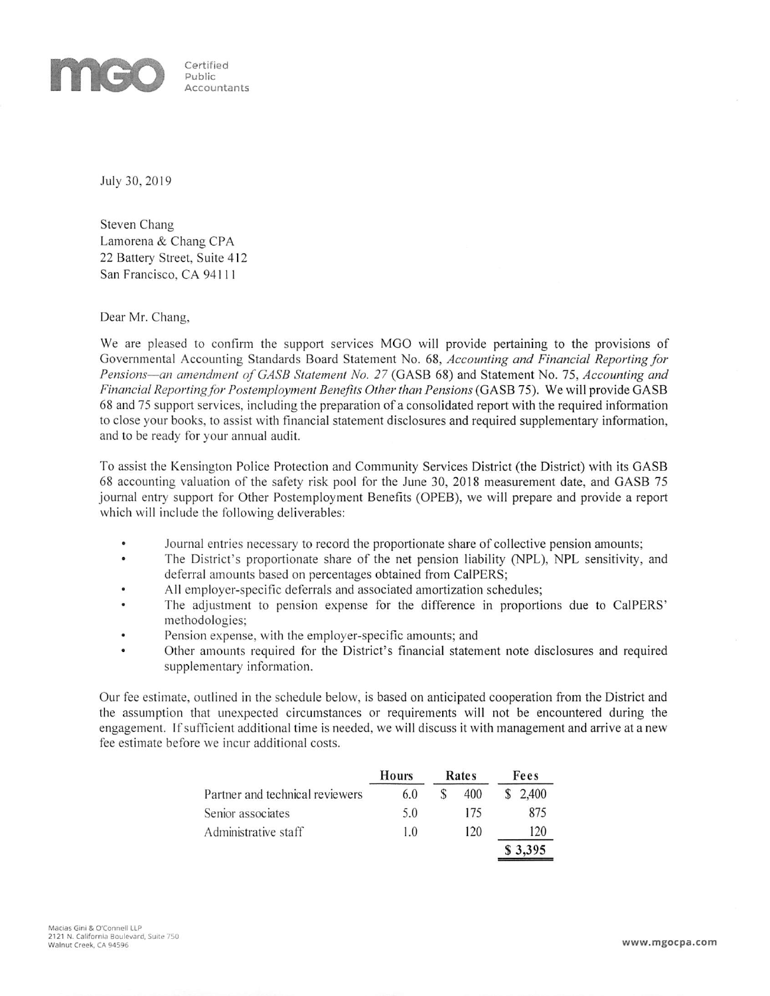

Certified Public Accountants

July 30, 2019

Steven Chang Lamorena & Chang CPA 22 Battery Street, Suite 412 San Francisco, CA 94111

Dear Mr. Chang,

We are pleased to confirm the support services MGO will provide pertaining to the provisions of Governmental Accounting Standards Board Statement No. 68, Accounting and Financial Reporting for Pensions—an amendment of GASB Statement No. 27 (GASB 68) and Statement No. 75, Accounting and Financial Reporting for Postemployment Benefits Other than Pensions (GASB 75). We will provide GASB 68 and 75 support services, including the preparation of a consolidated report with the required information to close your books, to assist with financial statement disclosures and required supplementary information, and to be ready for your annual audit.

To assist the Kensington Police Protection and Community Services District (the District) with its GASB 68 accounting valuation of the safety risk pool for the June 30, 2018 measurement date, and GASB 75 journal entry support for Other Postemployment Benefits (OPEB), we will prepare and provide a report which will include the following deliverables:

- $\bullet$ Journal entries necessary to record the proportionate share of collective pension amounts;
- The District's proportionate share of the net pension liability (NPL), NPL sensitivity, and deferral amounts based on percentages obtained from CalPERS;
- All employer-specific deferrals and associated amortization schedules;  $\bullet$
- The adjustment to pension expense for the difference in proportions due to CalPERS' methodologies;
- Pension expense, with the employer-specific amounts; and
- Other amounts required for the District's financial statement note disclosures and required supplementary information.

Our fee estimate, outlined in the schedule below, is based on anticipated cooperation from the District and the assumption that unexpected circumstances or requirements will not be encountered during the engagement. If sufficient additional time is needed, we will discuss it with management and arrive at a new fee estimate before we incur additional costs.

|                                 | Hours | Rates | Fees    |
|---------------------------------|-------|-------|---------|
| Partner and technical reviewers | 6.0   | 400   | 2,400   |
| Senior associates               | 5.0   | 175   | 875     |
| Administrative staff            | 1.0   | 120   | 120     |
|                                 |       |       | \$3,395 |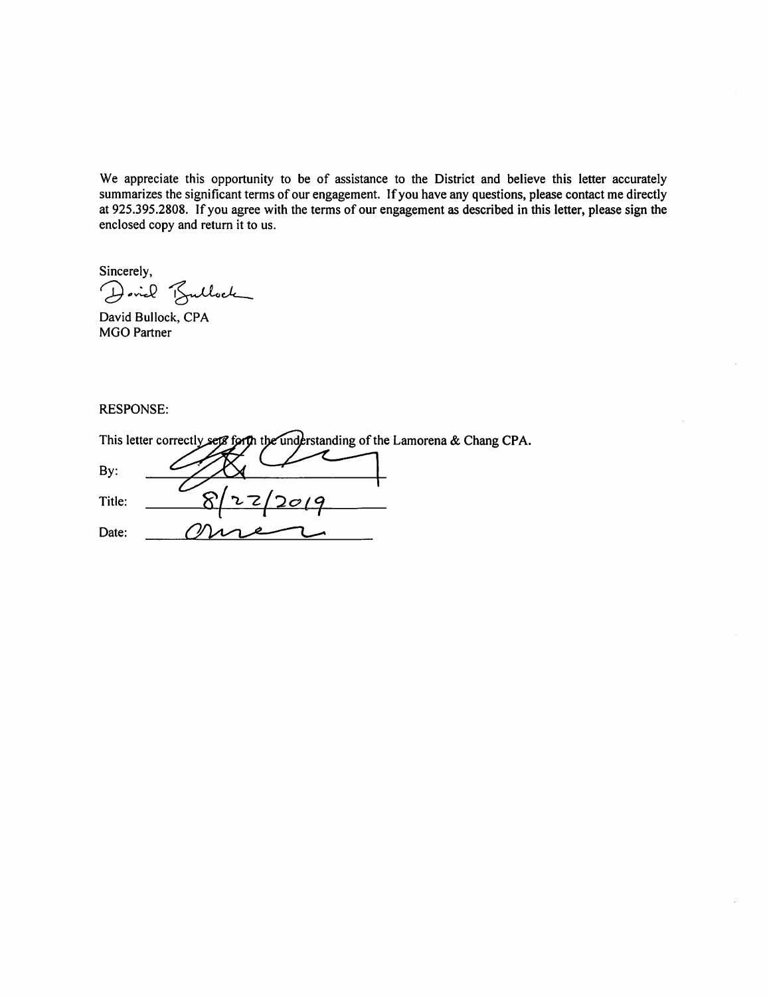We appreciate this opportunity to be of assistance to the District and believe this letter accurately summarizes the significant terms of our engagement. If you have any questions, please contact me directly at 925.395.2808. If you agree with the terms of our engagement as described in this letter, please sign the enclosed copy and return it to us.

Sincerely,

Dovid Bullock

David Bullock, CPA **MGO Partner** 

**RESPONSE:** 

|        | This letter correctly sets forth the understanding of the Lamorena & Chang CPA. |
|--------|---------------------------------------------------------------------------------|
| By:    |                                                                                 |
| Title: | 27/20/9                                                                         |
| Date:  |                                                                                 |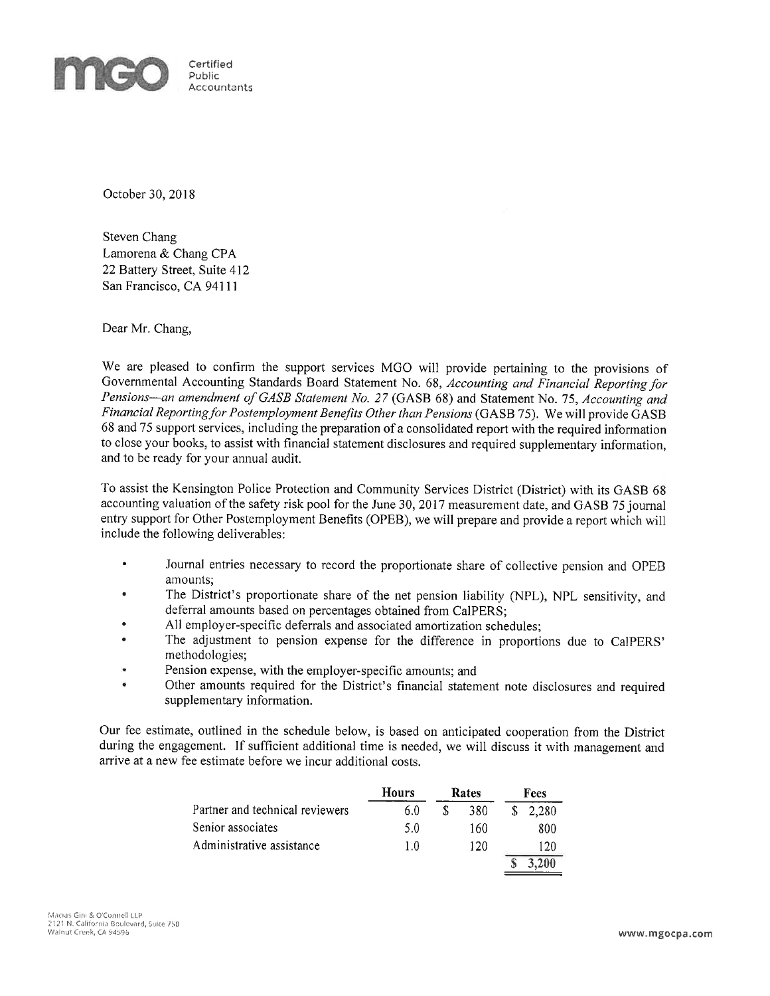

October 30, 2018

Steven Chang Lamorena & Chang CPA 22 Battery Street, Suite 412 San Francisco, CA 94111

Dear Mr. Chang,

We are pleased to confirm the support services MGO will provide pertaining to the provisions of Governmental Accounting Standards Board Statement No. 68, Accounting and Financial Reporting for Pensions-an amendment of GASB Statement No. 27 (GASB 68) and Statement No. 75, Accounting and Financial Reporting for Postemployment Benefits Other than Pensions (GASB 75). We will provide GASB 68 and 75 support services, including the preparation of a consolidated report with the required information to close your books, to assist with financial statement disclosures and required supplementary information. and to be ready for your annual audit.

To assist the Kensington Police Protection and Community Services District (District) with its GASB 68 accounting valuation of the safety risk pool for the June 30, 2017 measurement date, and GASB 75 journal entry support for Other Postemployment Benefits (OPEB), we will prepare and provide a report which will include the following deliverables:

- Journal entries necessary to record the proportionate share of collective pension and OPEB amounts:
- The District's proportionate share of the net pension liability (NPL), NPL sensitivity, and × deferral amounts based on percentages obtained from CalPERS:
- All employer-specific deferrals and associated amortization schedules;
- The adjustment to pension expense for the difference in proportions due to CalPERS'  $\bullet$ methodologies;
- Pension expense, with the employer-specific amounts; and
- Other amounts required for the District's financial statement note disclosures and required supplementary information.

Our fee estimate, outlined in the schedule below, is based on anticipated cooperation from the District during the engagement. If sufficient additional time is needed, we will discuss it with management and arrive at a new fee estimate before we incur additional costs.

|                                 | Hours | Rates | Fees    |
|---------------------------------|-------|-------|---------|
| Partner and technical reviewers | 6.0   | 380   | \$2,280 |
| Senior associates               | 5.0   | 160   | 800     |
| Administrative assistance       | 1.0   | 120   | 120     |
|                                 |       |       | 3.200   |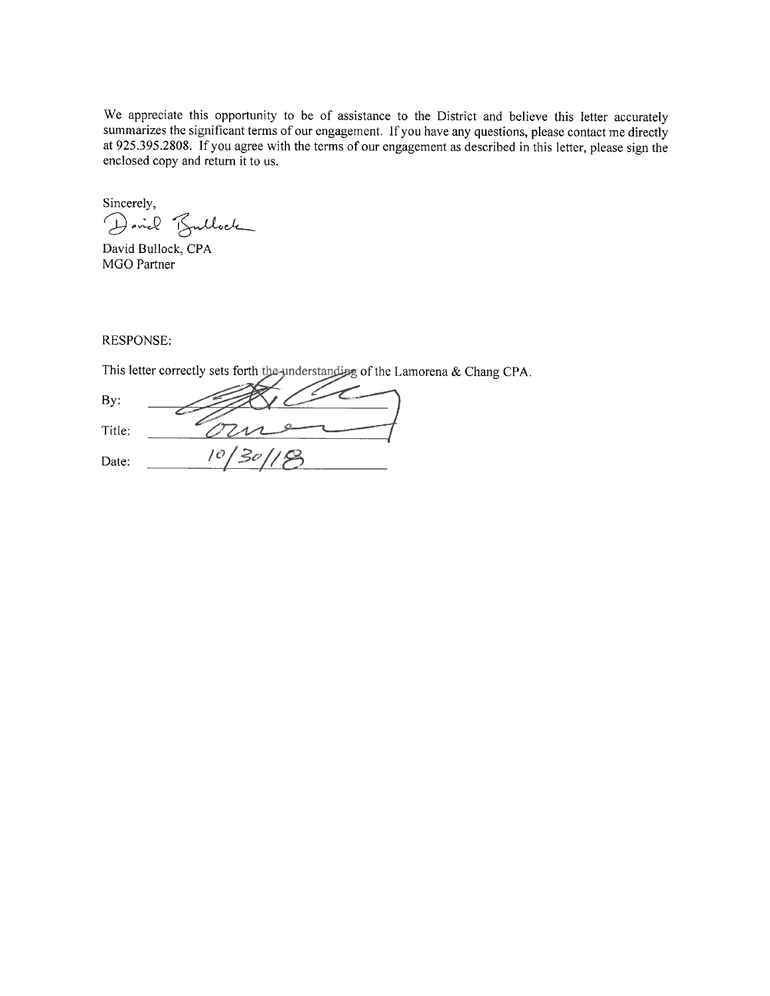We appreciate this opportunity to be of assistance to the District and believe this letter accurately summarizes the significant terms of our engagement. If you have any questions, please contact me directly at 925.395.2808. If you agree with the terms of our engagement as described in this letter, please sign the enclosed copy and return it to us.

Sincerely, Dovid Bullock

David Bullock, CPA MGO Partner

RESPONSE:

This letter correctly sets forth the understanding of the Lamorena & Chang CPA.

By: Title: Date: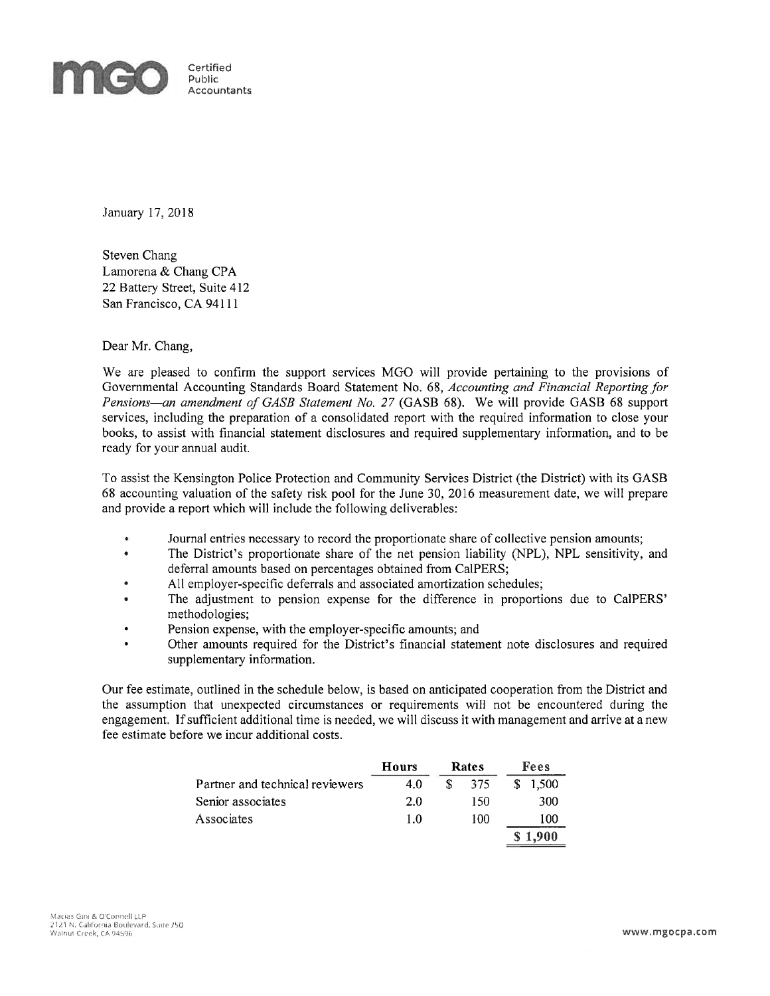

January 17, 2018

Steven Chang Lamorena & Chang CPA 22 Battery Street, Suite 412 San Francisco, CA 94111

Dear Mr. Chang,

We are pleased to confirm the support services MGO will provide pertaining to the provisions of Governmental Accounting Standards Board Statement No. 68, Accounting and Financial Reporting for Pensions—an amendment of GASB Statement No. 27 (GASB 68). We will provide GASB 68 support services, including the preparation of a consolidated report with the required information to close your books, to assist with financial statement disclosures and required supplementary information, and to be ready for your annual audit.

To assist the Kensington Police Protection and Community Services District (the District) with its GASB 68 accounting valuation of the safety risk pool for the June 30, 2016 measurement date, we will prepare and provide a report which will include the following deliverables:

- Journal entries necessary to record the proportionate share of collective pension amounts;
- The District's proportionate share of the net pension liability (NPL), NPL sensitivity, and  $\bullet$ deferral amounts based on percentages obtained from CalPERS;
- All employer-specific deferrals and associated amortization schedules;
- The adjustment to pension expense for the difference in proportions due to CalPERS' methodologies;
- Pension expense, with the employer-specific amounts; and  $\bullet$
- Other amounts required for the District's financial statement note disclosures and required supplementary information.

Our fee estimate, outlined in the schedule below, is based on anticipated cooperation from the District and the assumption that unexpected circumstances or requirements will not be encountered during the engagement. If sufficient additional time is needed, we will discuss it with management and arrive at a new fee estimate before we incur additional costs.

|                                 | Hours | Rates | Fees    |
|---------------------------------|-------|-------|---------|
| Partner and technical reviewers | 4.0   | -375  | \$1.500 |
| Senior associates               | 2.0   | 150   | 300     |
| Associates                      | 1.0   | 100   | 100     |
|                                 |       |       |         |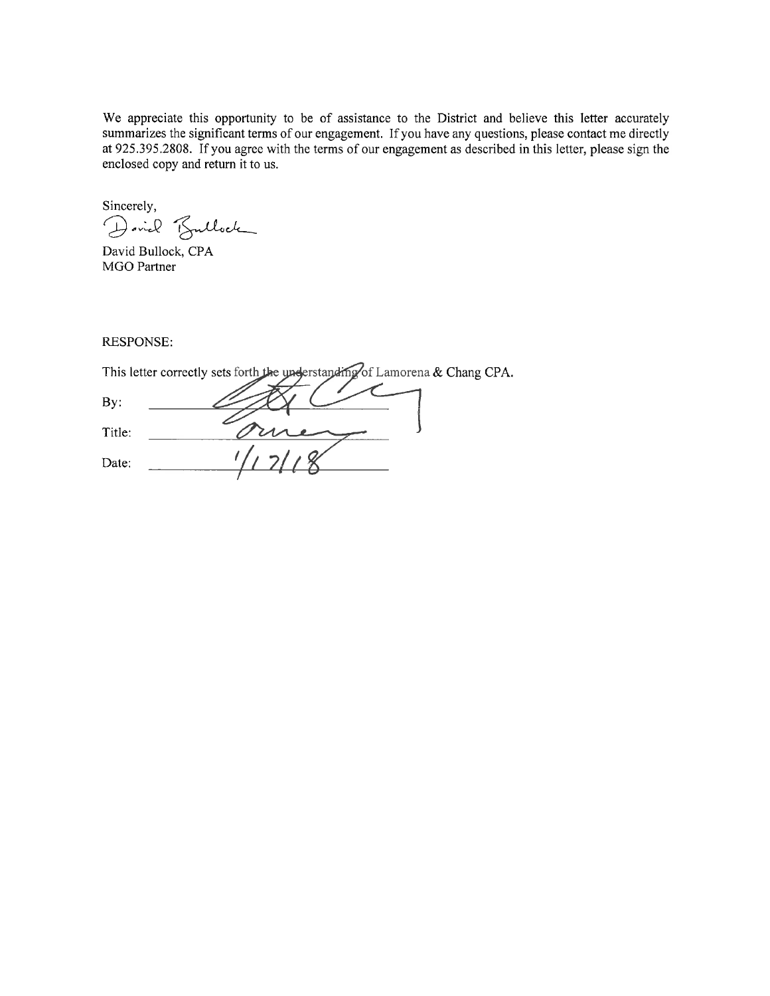We appreciate this opportunity to be of assistance to the District and believe this letter accurately summarizes the significant terms of our engagement. If you have any questions, please contact me directly at 925.395.2808. If you agree with the terms of our engagement as described in this letter, please sign the enclosed copy and return it to us.

Sincerely, Dovid Bullock

David Bullock, CPA MGO Partner

**RESPONSE:** 

This letter correctly sets forth the understanding of Lamorena & Chang CPA.

By: Title: Date: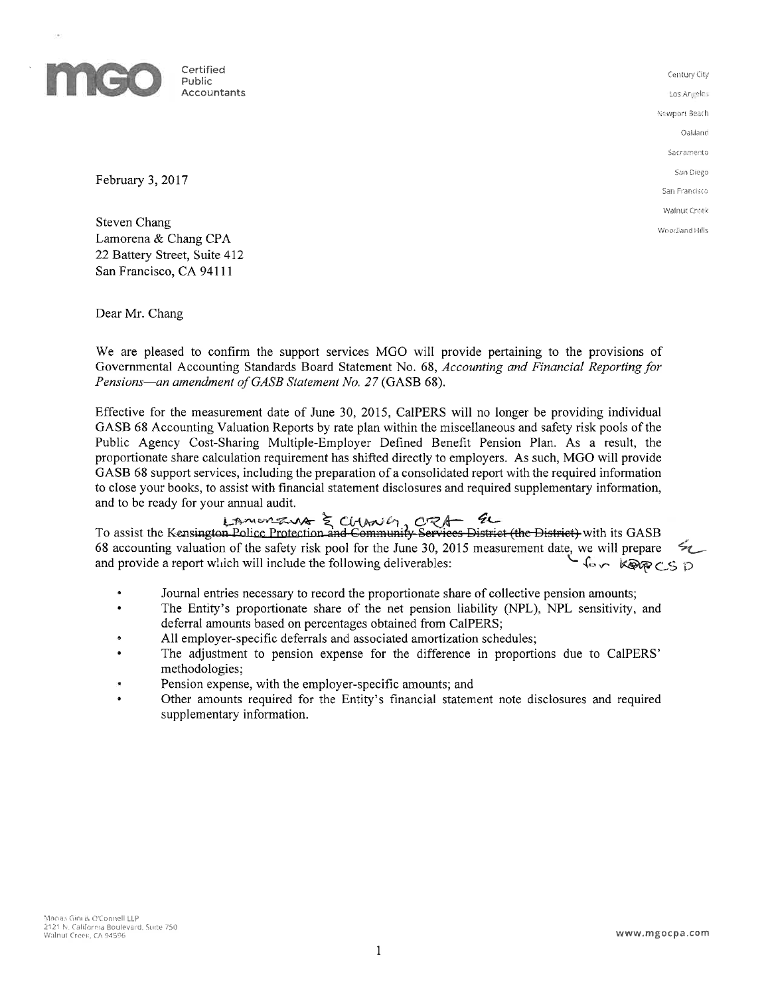

Certified Accountants

Century City Los Anjieles Newport Beach Oaldand Sacramento San Diego San Francisco Walnut Creek Woodland Hills

February 3, 2017

Steven Chang Lamorena & Chang CPA 22 Battery Street, Suite 412 San Francisco, CA 94111

Dear Mr. Chang

We are pleased to confirm the support services MGO will provide pertaining to the provisions of Governmental Accounting Standards Board Statement No. 68, Accounting and Financial Reporting for Pensions—an amendment of GASB Statement No. 27 (GASB 68).

Effective for the measurement date of June 30, 2015, CalPERS will no longer be providing individual GASB 68 Accounting Valuation Reports by rate plan within the miscellaneous and safety risk pools of the Public Agency Cost-Sharing Multiple-Employer Defined Benefit Pension Plan. As a result, the proportionate share calculation requirement has shifted directly to employers. As such, MGO will provide GASB 68 support services, including the preparation of a consolidated report with the required information to close your books, to assist with financial statement disclosures and required supplementary information, and to be ready for your annual audit.

**To assist the Kensington Police Protection and Community Services District (the District)** with its GASB 68 accounting valuation of the safety risk pool for the June 30, 2015 measurement date, we will prepare and provide a report which will include the following deliverables: **Lov KORECSD** 

- $\bullet$ Journal entries necessary to record the proportionate share of collective pension amounts;
- The Entity's proportionate share of the net pension liability (NPL), NPL sensitivity, and  $\bullet$ deferral amounts based on percentages obtained from CalPERS;
- All employer-specific deferrals and associated amortization schedules;
- The adjustment to pension expense for the difference in proportions due to CalPERS' methodologies;
- Pension expense, with the employer-specific amounts; and
- Other amounts required for the Entity's financial statement note disclosures and required supplementary information.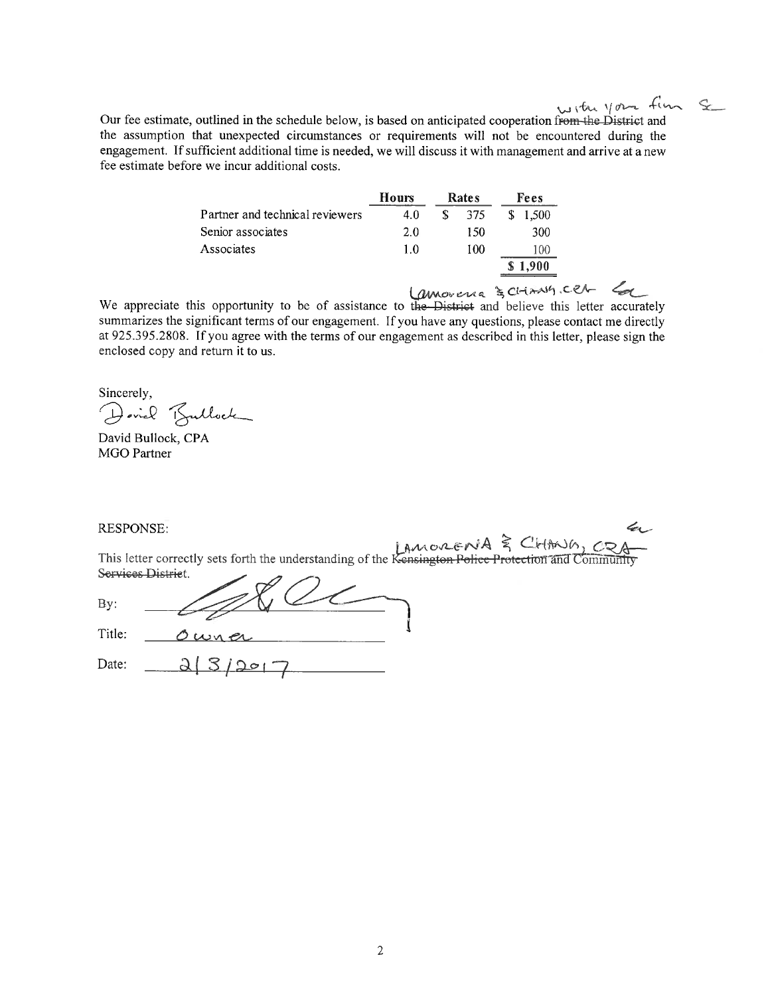with your fin Se

Our fee estimate, outlined in the schedule below, is based on anticipated cooperation from the District and the assumption that unexpected circumstances or requirements will not be encountered during the engagement. If sufficient additional time is needed, we will discuss it with management and arrive at a new fee estimate before we incur additional costs.

|                                 | Hours |    | Rates | Fees  |
|---------------------------------|-------|----|-------|-------|
| Partner and technical reviewers | 4.0   | S. | 375   | 1.500 |
| Senior associates               | 2.0   |    | 150   | 300   |
| Associates                      | 1.0   |    | 100   | 100   |
|                                 |       |    |       | 1,900 |
|                                 |       |    |       |       |

We appreciate this opportunity to be of assistance to the District and believe this letter accurately summarizes the significant terms of our engagement. If you have any questions, please contact me directly at 925.395.2808. If you agree with the terms of our engagement as described in this letter, please sign the enclosed copy and return it to us.

Sincerely,

Dovid Bullock

David Bullock, CPA **MGO Partner** 

**RESPONSE:** 

This letter correctly sets forth the understanding of the Kensington Police Protection and Community Services District.  $\overline{a}$ 

|        | ---   |  |
|--------|-------|--|
|        |       |  |
| Title: | wh er |  |

Date:  $2/3/2017$